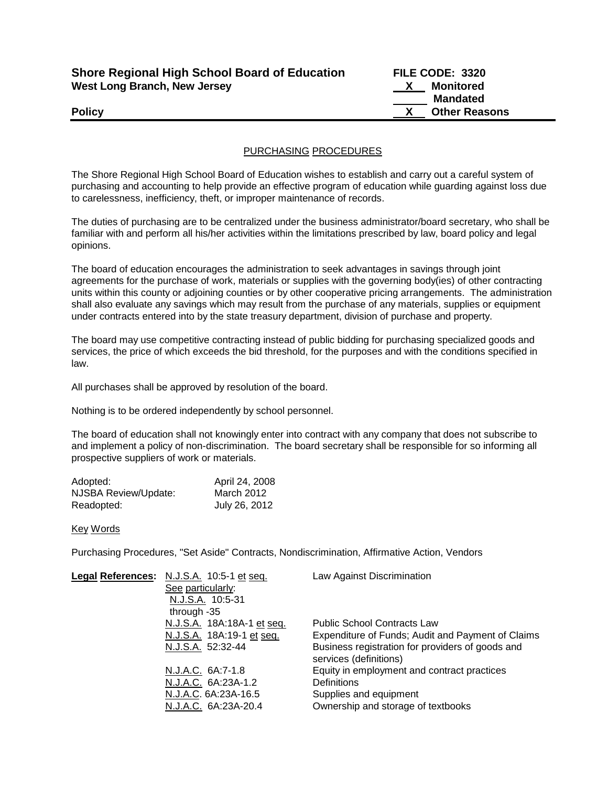| <b>Shore Regional High School Board of Education</b> |  |
|------------------------------------------------------|--|
| <b>West Long Branch, New Jersey</b>                  |  |

**Shore Regional High School Board of Education FILE CODE: 3320 X** Monitored  **Mandated Policy CONSERVING CONSERVANCE CONSERVANCE CONSERVANCE CONSERVANCE CONSERVANCE CONSERVANCE CONSERVANCE CONSERVANCE CONSERVANCE CONSERVANCE CONSERVANCE CONSERVANCE CONSERVANCE CONSERVANCE CONSERVANCE CONSERVANCE CONSERVAN** 

# PURCHASING PROCEDURES

The Shore Regional High School Board of Education wishes to establish and carry out a careful system of purchasing and accounting to help provide an effective program of education while guarding against loss due to carelessness, inefficiency, theft, or improper maintenance of records.

The duties of purchasing are to be centralized under the business administrator/board secretary, who shall be familiar with and perform all his/her activities within the limitations prescribed by law, board policy and legal opinions.

The board of education encourages the administration to seek advantages in savings through joint agreements for the purchase of work, materials or supplies with the governing body(ies) of other contracting units within this county or adjoining counties or by other cooperative pricing arrangements. The administration shall also evaluate any savings which may result from the purchase of any materials, supplies or equipment under contracts entered into by the state treasury department, division of purchase and property.

The board may use competitive contracting instead of public bidding for purchasing specialized goods and services, the price of which exceeds the bid threshold, for the purposes and with the conditions specified in law.

All purchases shall be approved by resolution of the board.

Nothing is to be ordered independently by school personnel.

The board of education shall not knowingly enter into contract with any company that does not subscribe to and implement a policy of non-discrimination. The board secretary shall be responsible for so informing all prospective suppliers of work or materials.

| Adopted:             | April 24, 2008 |
|----------------------|----------------|
| NJSBA Review/Update: | March 2012     |
| Readopted:           | July 26, 2012  |

### Key Words

Purchasing Procedures, "Set Aside" Contracts, Nondiscrimination, Affirmative Action, Vendors

| Legal References: N.J.S.A. 10:5-1 et seq. | Law Against Discrimination                                                 |
|-------------------------------------------|----------------------------------------------------------------------------|
| See particularly:                         |                                                                            |
| N.J.S.A. 10:5-31                          |                                                                            |
| through -35                               |                                                                            |
| N.J.S.A. 18A:18A-1 et seq.                | <b>Public School Contracts Law</b>                                         |
| N.J.S.A. 18A:19-1 et seq.                 | Expenditure of Funds; Audit and Payment of Claims                          |
| N.J.S.A. 52:32-44                         | Business registration for providers of goods and<br>services (definitions) |
| N.J.A.C. 6A:7-1.8                         | Equity in employment and contract practices                                |
| N.J.A.C. 6A:23A-1.2                       | <b>Definitions</b>                                                         |
| N.J.A.C. 6A:23A-16.5                      | Supplies and equipment                                                     |
| N.J.A.C. 6A:23A-20.4                      | Ownership and storage of textbooks                                         |
|                                           |                                                                            |